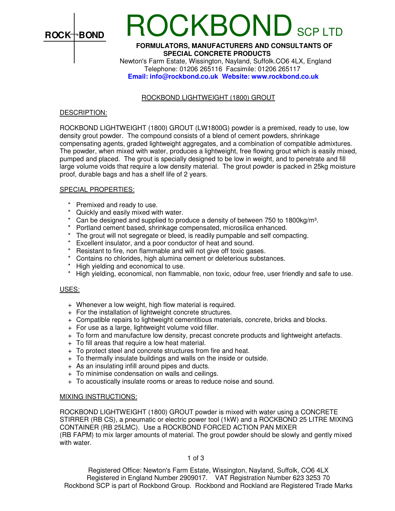

# **DCKBOND** SCP LTD

## **FORMULATORS, MANUFACTURERS AND CONSULTANTS OF SPECIAL CONCRETE PRODUCTS**

 Newton's Farm Estate, Wissington, Nayland, Suffolk.CO6 4LX, England Telephone: 01206 265116 Facsimile: 01206 265117 **Email: info@rockbond.co.uk Website: www.rockbond.co.uk** 

## ROCKBOND LIGHTWEIGHT (1800) GROUT

### DESCRIPTION:

ROCKBOND LIGHTWEIGHT (1800) GROUT (LW1800G) powder is a premixed, ready to use, low density grout powder. The compound consists of a blend of cement powders, shrinkage compensating agents, graded lightweight aggregates, and a combination of compatible admixtures. The powder, when mixed with water, produces a lightweight, free flowing grout which is easily mixed, pumped and placed. The grout is specially designed to be low in weight, and to penetrate and fill large volume voids that require a low density material. The grout powder is packed in 25kg moisture proof, durable bags and has a shelf life of 2 years.

## SPECIAL PROPERTIES:

- \* Premixed and ready to use.
- \* Quickly and easily mixed with water.
- \* Can be designed and supplied to produce a density of between 750 to 1800kg/m³.
- \* Portland cement based, shrinkage compensated, microsilica enhanced.
- \* The grout will not segregate or bleed, is readily pumpable and self compacting.
- \* Excellent insulator, and a poor conductor of heat and sound.
- \* Resistant to fire, non flammable and will not give off toxic gases.
- \* Contains no chlorides, high alumina cement or deleterious substances.<br>\* High vielding and economical to use
- High yielding and economical to use.
- \* High yielding, economical, non flammable, non toxic, odour free, user friendly and safe to use.

### USES:

- + Whenever a low weight, high flow material is required.
- + For the installation of lightweight concrete structures.
- + Compatible repairs to lightweight cementitious materials, concrete, bricks and blocks.
- + For use as a large, lightweight volume void filler.
- + To form and manufacture low density, precast concrete products and lightweight artefacts.
- + To fill areas that require a low heat material.
- + To protect steel and concrete structures from fire and heat.
- + To thermally insulate buildings and walls on the inside or outside.
- + As an insulating infill around pipes and ducts.
- + To minimise condensation on walls and ceilings.
- + To acoustically insulate rooms or areas to reduce noise and sound.

### MIXING INSTRUCTIONS:

ROCKBOND LIGHTWEIGHT (1800) GROUT powder is mixed with water using a CONCRETE STIRRER (RB CS), a pneumatic or electric power tool (1kW) and a ROCKBOND 25 LITRE MIXING CONTAINER (RB 25LMC). Use a ROCKBOND FORCED ACTION PAN MIXER (RB FAPM) to mix larger amounts of material. The grout powder should be slowly and gently mixed with water.

### 1 of 3

Registered Office: Newton's Farm Estate, Wissington, Nayland, Suffolk, CO6 4LX Registered in England Number 2909017. VAT Registration Number 623 3253 70 Rockbond SCP is part of Rockbond Group. Rockbond and Rockland are Registered Trade Marks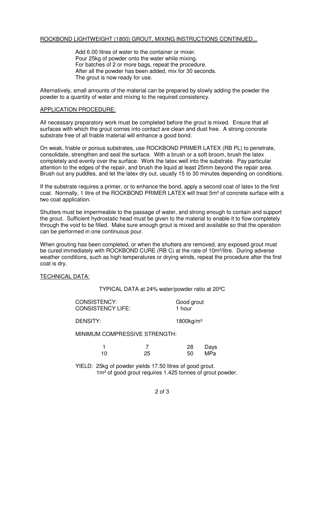# ROCKBOND LIGHTWEIGHT (1800) GROUT, MIXING INSTRUCTIONS CONTINUED...

 Add 6.00 litres of water to the container or mixer. Pour 25kg of powder onto the water while mixing. For batches of 2 or more bags, repeat the procedure. After all the powder has been added, mix for 30 seconds. The grout is now ready for use.

Alternatively, small amounts of the material can be prepared by slowly adding the powder the powder to a quantity of water and mixing to the required consistency.

# APPLICATION PROCEDURE:

All necessary preparatory work must be completed before the grout is mixed. Ensure that all surfaces with which the grout comes into contact are clean and dust free. A strong concrete substrate free of all friable material will enhance a good bond.

On weak, friable or porous substrates, use ROCKBOND PRIMER LATEX (RB PL) to penetrate, consolidate, strengthen and seal the surface. With a brush or a soft broom, brush the latex completely and evenly over the surface. Work the latex well into the substrate. Pay particular attention to the edges of the repair, and brush the liquid at least 25mm beyond the repair area. Brush out any puddles, and let the latex dry out, usually 15 to 30 minutes depending on conditions.

If the substrate requires a primer, or to enhance the bond, apply a second coat of latex to the first coat. Normally, 1 litre of the ROCKBOND PRIMER LATEX will treat 5m² of concrete surface with a two coat application.

Shutters must be impermeable to the passage of water, and strong enough to contain and support the grout. Sufficient hydrostatic head must be given to the material to enable it to flow completely through the void to be filled. Make sure enough grout is mixed and available so that the operation can be performed in one continuous pour.

When grouting has been completed, or when the shutters are removed, any exposed grout must be cured immediately with ROCKBOND CURE (RB C) at the rate of 10m²/litre. During adverse weather conditions, such as high temperatures or drying winds, repeat the procedure after the first coat is dry.

# TECHNICAL DATA:

TYPICAL DATA at 24% water/powder ratio at 20ºC

| <b>CONSISTENCY:</b>      | Good grout |
|--------------------------|------------|
| <b>CONSISTENCY LIFE:</b> | 1 hour     |

DENSITY: 1800kg/m<sup>3</sup>

MINIMUM COMPRESSIVE STRENGTH:

|      | 28 Days |
|------|---------|
| - 25 | 50 MPa  |

 YIELD: 25kg of powder yields 17.50 litres of good grout. 1m<sup>3</sup> of good grout requires 1.425 tonnes of grout powder.

# 2 of 3